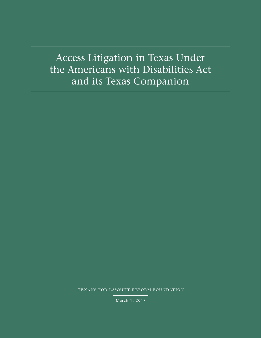Access Litigation in Texas Under the Americans with Disabilities Act and its Texas Companion

texans for lawsuit reform foundation

March 1, 2017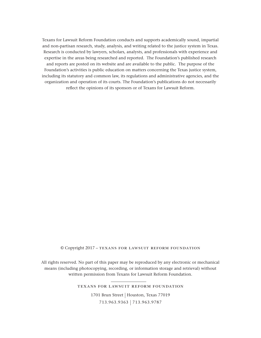Texans for Lawsuit Reform Foundation conducts and supports academically sound, impartial and non-partisan research, study, analysis, and writing related to the justice system in Texas. Research is conducted by lawyers, scholars, analysts, and professionals with experience and expertise in the areas being researched and reported. The Foundation's published research and reports are posted on its website and are available to the public. The purpose of the Foundation's activities is public education on matters concerning the Texas justice system, including its statutory and common law, its regulations and administrative agencies, and the organization and operation of its courts. The Foundation's publications do not necessarily reflect the opinions of its sponsors or of Texans for Lawsuit Reform.

#### © Copyright 2017 – texans for lawsuit reform foundation

All rights reserved. No part of this paper may be reproduced by any electronic or mechanical means (including photocopying, recording, or information storage and retrieval) without written permission from Texans for Lawsuit Reform Foundation.

texans for lawsuit reform foundation

1701 Brun Street | Houston, Texas 77019 713.963.9363 | 713.963.9787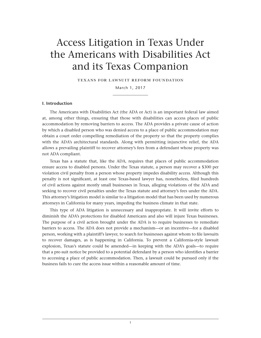# Access Litigation in Texas Under the Americans with Disabilities Act and its Texas Companion

texans for lawsuit reform foundation

March 1, 2017

# **I. Introduction**

The Americans with Disabilities Act (the ADA or Act) is an important federal law aimed at, among other things, ensuring that those with disabilities can access places of public accommodation by removing barriers to access. The ADA provides a private cause of action by which a disabled person who was denied access to a place of public accommodation may obtain a court order compelling remediation of the property so that the property complies with the ADA's architectural standards. Along with permitting injunctive relief, the ADA allows a prevailing plaintiff to recover attorney's fees from a defendant whose property was not ADA compliant.

Texas has a statute that, like the ADA, requires that places of public accommodation ensure access to disabled persons. Under the Texas statute, a person may recover a \$300 per violation civil penalty from a person whose property impedes disability access. Although this penalty is not significant, at least one Texas-based lawyer has, nonetheless, filed hundreds of civil actions against mostly small businesses in Texas, alleging violations of the ADA and seeking to recover civil penalties under the Texas statute and attorney's fees under the ADA. This attorney's litigation model is similar to a litigation model that has been used by numerous attorneys in California for many years, impeding the business climate in that state.

This type of ADA litigation is unnecessary and inappropriate. It will invite efforts to diminish the ADA's protections for disabled Americans and also will injure Texas businesses. The purpose of a civil action brought under the ADA is to require businesses to remediate barriers to access. The ADA does not provide a mechanism—or an incentive—for a disabled person, working with a plaintiff's lawyer, to search for businesses against whom to file lawsuits to recover damages, as is happening in California. To prevent a California-style lawsuit explosion, Texas's statute could be amended—in keeping with the ADA's goals—to require that a pre-suit notice be provided to a potential defendant by a person who identifies a barrier to accessing a place of public accommodation. Then, a lawsuit could be pursued only if the business fails to cure the access issue within a reasonable amount of time.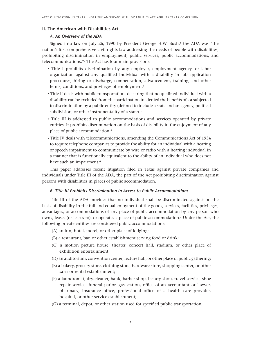# **II. The American with Disabilities Act**

# *A. An Overview of the ADA*

Signed into law on July 26, 1990 by President George H.W. Bush, $<sup>1</sup>$  the ADA was "the</sup> nation's first comprehensive civil rights law addressing the needs of people with disabilities, prohibiting discrimination in employment, public services, public accommodations, and telecommunications."2 The Act has four main provisions:

- Title I prohibits discrimination by any employer, employment agency, or labor organization against any qualified individual with a disability in job application procedures, hiring or discharge, compensation, advancement, training, and other terms, conditions, and privileges of employment.<sup>3</sup>
- Title II deals with public transportation, declaring that no qualified individual with a disability can be excluded from the participation in, denied the benefits of, or subjected to discrimination by a public entity (defined to include a state and an agency, political subdivision, or other instrumentality of a state).4
- Title III is addressed to public accommodations and services operated by private entities. It prohibits discrimination on the basis of disability in the enjoyment of any place of public accommodation.5
- Title IV deals with telecommunications, amending the Communications Act of 1934 to require telephone companies to provide the ability for an individual with a hearing or speech impairment to communicate by wire or radio with a hearing individual in a manner that is functionally equivalent to the ability of an individual who does not have such an impairment.<sup>6</sup>

This paper addresses recent litigation filed in Texas against private companies and individuals under Title III of the ADA, the part of the Act prohibiting discrimination against persons with disabilities in places of public accommodation.

# *B. Title III Prohibits Discrimination in Access to Public Accommodations*

Title III of the ADA provides that no individual shall be discriminated against on the basis of disability in the full and equal enjoyment of the goods, services, facilities, privileges, advantages, or accommodations of any place of public accommodation by any person who owns, leases (or leases to), or operates a place of public accommodation.7 Under the Act, the following private entities are considered public accommodations:

- (A) an inn, hotel, motel, or other place of lodging;
- (B) a restaurant, bar, or other establishment serving food or drink;
- (C) a motion picture house, theater, concert hall, stadium, or other place of exhibition entertainment;
- (D) an auditorium, convention center, lecture hall, or other place of public gathering;
- (E) a bakery, grocery store, clothing store, hardware store, shopping center, or other sales or rental establishment;
- (F) a laundromat, dry-cleaner, bank, barber shop, beauty shop, travel service, shoe repair service, funeral parlor, gas station, office of an accountant or lawyer, pharmacy, insurance office, professional office of a health care provider, hospital, or other service establishment;
- (G) a terminal, depot, or other station used for specified public transportation;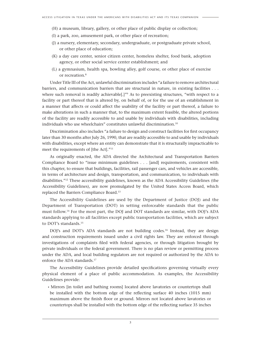- (H) a museum, library, gallery, or other place of public display or collection;
- (I) a park, zoo, amusement park, or other place of recreation;
- (J) a nursery, elementary, secondary, undergraduate, or postgraduate private school, or other place of education;
- (K) a day care center, senior citizen center, homeless shelter, food bank, adoption agency, or other social service center establishment; and
- (L) a gymnasium, health spa, bowling alley, golf course, or other place of exercise or recreation.<sup>8</sup>

Under Title III of the Act, unlawful discrimination includes "a failure to remove architectural barriers, and communication barriers that are structural in nature, in existing facilities . . . where such removal is readily achievable<sup>[1]"</sup> As to preexisting structures, "with respect to a facility or part thereof that is altered by, on behalf of, or for the use of an establishment in a manner that affects or could affect the usability of the facility or part thereof, a failure to make alterations in such a manner that, to the maximum extent feasible, the altered portions of the facility are readily accessible to and usable by individuals with disabilities, including individuals who use wheelchairs" constitutes unlawful discrimination.10

Discrimination also includes "a failure to design and construct facilities for first occupancy later than 30 months after July 26, 1990, that are readily accessible to and usable by individuals with disabilities, except where an entity can demonstrate that it is structurally impracticable to meet the requirements of [the Act]."<sup>11</sup>

As originally enacted, the ADA directed the Architectural and Transportation Barriers Compliance Board to "issue minimum guidelines . . . [and] requirements, consistent with this chapter, to ensure that buildings, facilities, rail passenger cars, and vehicles are accessible, in terms of architecture and design, transportation, and communication, to individuals with disabilities."<sup>12</sup> These accessibility guidelines, known as the ADA Accessibility Guidelines (the Accessibility Guidelines), are now promulgated by the United States Access Board, which replaced the Barriers Compliance Board.13

The Accessibility Guidelines are used by the Department of Justice (DOJ) and the Department of Transportation (DOT) in setting enforceable standards that the public must follow.14 For the most part, the DOJ and DOT standards are similar, with DOJ's ADA standards applying to all facilities except public transportation facilities, which are subject to DOT's standards.<sup>15</sup>

DOJ's and DOT's ADA standards are not building codes.<sup>16</sup> Instead, they are design and construction requirements issued under a civil rights law. They are enforced through investigations of complaints filed with federal agencies, or through litigation brought by private individuals or the federal government. There is no plan review or permitting process under the ADA, and local building regulators are not required or authorized by the ADA to enforce the ADA standards.<sup>17</sup>

The Accessibility Guidelines provide detailed specifications governing virtually every physical element of a place of public accommodation. As examples, the Accessibility Guidelines provide:

• Mirrors [in toilet and bathing rooms] located above lavatories or countertops shall be installed with the bottom edge of the reflecting surface 40 inches (1015 mm) maximum above the finish floor or ground. Mirrors not located above lavatories or countertops shall be installed with the bottom edge of the reflecting surface 35 inches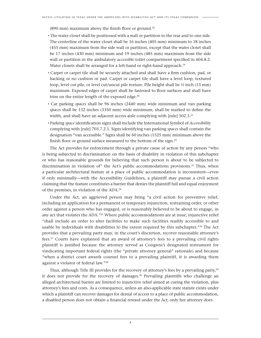(890 mm) maximum above the finish floor or ground.18

- The water closet shall be positioned with a wall or partition to the rear and to one side. The centerline of the water closet shall be 16 inches (405 mm) minimum to 18 inches (455 mm) maximum from the side wall or partition, except that the water closet shall be 17 inches (430 mm) minimum and 19 inches (485 mm) maximum from the side wall or partition in the ambulatory *accessible* toilet compartment specified in 604.8.2. Water closets shall be arranged for a left-hand or right-hand approach.<sup>19</sup>
- Carpet or carpet tile shall be securely attached and shall have a firm cushion, pad, or backing or no cushion or pad. Carpet or carpet tile shall have a level loop, textured loop, level cut pile, or level cut/uncut pile texture. Pile height shall be ½ inch (13 mm) maximum. Exposed edges of carpet shall be fastened to floor surfaces and shall have trim on the entire length of the exposed edge.<sup>20</sup>
- Car parking *spaces* shall be 96 inches (2440 mm) wide minimum and van parking *spaces* shall be 132 inches (3350 mm) wide minimum, shall be marked to define the width, and shall have an adjacent access aisle complying with [rule] 502.3.<sup>21</sup>
- Parking *space* identification signs shall include the International Symbol of *Accessibility* complying with [rule] 703.7.2.1. Signs identifying van parking *spaces* shall contain the designation "van accessible." Signs shall be 60 inches (1525 mm) minimum above the finish floor or ground surface measured to the bottom of the sign.<sup>22</sup>

The Act provides for enforcement through a private cause of action by any person "who is being subjected to discrimination on the basis of disability in violation of this subchapter or who has reasonable grounds for believing that such person is about to be subjected to discrimination in violation of" the Act's public accommodations provisions.23 Thus, when a particular architectural feature at a place of public accommodation is inconsistent—even if only minimally—with the Accessibility Guidelines, a plaintiff may pursue a civil action claiming that the feature constitutes a barrier that denies the plaintiff full and equal enjoyment of the premises, in violation of the ADA.24

Under the Act, an aggrieved person may bring "a civil action for preventive relief, including an application for a permanent or temporary injunction, restraining order, or other order against a person who has engaged, or is reasonably believed to be about to engage, in *any* act that violates the ADA."<sup>25</sup> Where public accommodations are at issue, injunctive relief "shall include an order to alter facilities to make such facilities readily accessible to and usable by individuals with disabilities to the extent required by this subchapter."<sup>26</sup> The Act provides that a prevailing party may, in the court's discretion, recover reasonable attorney's fees.27 Courts have explained that an award of attorney's fees to a prevailing civil rights plaintiff is justified because the attorney served as Congress's designated instrument for vindicating important federal rights (the "private attorney general" rationale) and because "when a district court awards counsel fees to a prevailing plaintiff, it is awarding them against a violator of federal law."28

Thus, although Title III provides for the recovery of attorney's fees by a prevailing party,<sup>29</sup> it does not provide for the recovery of damages. $30$  Prevailing plaintiffs who challenge an alleged architectural barrier are limited to injunctive relief aimed at curing the violation, plus attorney's fees and costs. As a consequence, unless an also-applicable state statute exists under which a plaintiff can recover damages for denial of access to a place of public accommodation, a disabled person does not obtain a financial reward under the Act; only her attorney does.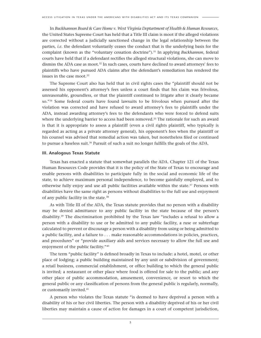In *Buckhannon Board & Care Home v. West Virginia Deptartment of Health & Human Resources*, the United States Supreme Court has held that a Title III claim is moot if the alleged violations are corrected without a judicially sanctioned change in the legal relationship between the parties, *i.e.* the defendant voluntarily ceases the conduct that is the underlying basis for the complaint (known as the "voluntary cessation doctrine").31 In applying *Buckhannon*, federal courts have held that if a defendant rectifies the alleged structural violations, she can move to dismiss the ADA case as moot.32 In such cases, courts have declined to award attorneys' fees to plaintiffs who have pursued ADA claims after the defendant's remediation has rendered the issues in the case moot.<sup>33</sup>

The Supreme Court also has held that in civil rights cases the "plaintiff should not be assessed his opponent's attorney's fees unless a court finds that his claim was frivolous, unreasonable, groundless, or that the plaintiff continued to litigate after it clearly became so."34 Some federal courts have found lawsuits to be frivolous when pursued after the violation was corrected and have refused to award attorney's fees to plaintiffs under the ADA, instead awarding attorney's fees to the defendants who were forced to defend suits where the underlying barrier to access had been removed.<sup>35</sup> The rationale for such an award is that it is appropriate to assess a plaintiff (even a civil rights plaintiff, who typically is regarded as acting as a private attorney general), his opponent's fees when the plaintiff or his counsel was advised that remedial action was taken, but nonetheless filed or continued to pursue a baseless suit.36 Pursuit of such a suit no longer fulfills the goals of the ADA.

#### **III. Analogous Texas Statute**

Texas has enacted a statute that somewhat parallels the ADA. Chapter 121 of the Texas Human Resources Code provides that it is the policy of the State of Texas to encourage and enable persons with disabilities to participate fully in the social and economic life of the state, to achieve maximum personal independence, to become gainfully employed, and to otherwise fully enjoy and use all public facilities available within the state.37 Persons with disabilities have the same right as persons without disabilities to the full use and enjoyment of any public facility in the state.38

As with Title III of the ADA, the Texas statute provides that no person with a disability may be denied admittance to any public facility in the state because of the person's disability.39 The discrimination prohibited by the Texas law "includes a refusal to allow a person with a disability to use or be admitted to any public facility, a ruse or subterfuge calculated to prevent or discourage a person with a disability from using or being admitted to a public facility, and a failure to . . . make reasonable accommodations in policies, practices, and procedures" or "provide auxiliary aids and services necessary to allow the full use and enjoyment of the public facility."40

The term "public facility" is defined broadly in Texas to include: a hotel, motel, or other place of lodging; a public building maintained by any unit or subdivision of government; a retail business, commercial establishment, or office building to which the general public is invited; a restaurant or other place where food is offered for sale to the public; and any other place of public accommodation, amusement, convenience, or resort to which the general public or any classification of persons from the general public is regularly, normally, or customarily invited.41

A person who violates the Texas statute "is deemed to have deprived a person with a disability of his or her civil liberties. The person with a disability deprived of his or her civil liberties may maintain a cause of action for damages in a court of competent jurisdiction,

5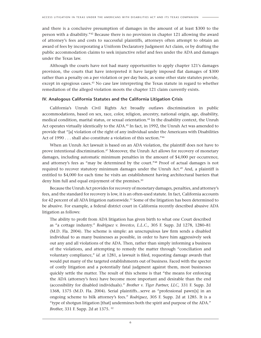and there is a conclusive presumption of damages in the amount of at least \$300 to the person with a disability."<sup>42</sup> Because there is no provision in chapter 121 allowing the award of attorney's fees and costs to successful plaintiffs, attorneys often attempt to obtain an award of fees by incorporating a Uniform Declaratory Judgment Act claim, or by drafting the public accommodation claims to seek injunctive relief and fees under the ADA and damages under the Texas law.

Although the courts have not had many opportunities to apply chapter 121's damages provision, the courts that have interpreted it have largely imposed flat damages of \$300 rather than a penalty on a per violation or per day basis, as some other state statutes provide, except in egregious cases.43 No case law interpreting the Texas statute in regard to whether remediation of the alleged violation moots the chapter 121 claim currently exists.

# **IV. Analogous California Statutes and the California Litigation Crisis**

California's Unruh Civil Rights Act broadly outlaws discrimination in public accommodations, based on sex, race, color, religion, ancestry, national origin, age, disability, medical condition, marital status, or sexual orientation.44 In the disability context, the Unruh Act operates virtually identically to the ADA.<sup>45</sup> In fact, in 1992, the Unruh Act was amended to provide that "[a] violation of the right of any individual under the Americans with Disabilities Act of 1990 . . . shall also constitute a violation of this section."<sup>46</sup>

When an Unruh Act lawsuit is based on an ADA violation, the plaintiff does not have to prove intentional discrimination.47 Moreover, the Unruh Act allows for recovery of monetary damages, including automatic minimum penalties in the amount of \$4,000 per occurrence, and attorney's fees as "may be determined by the court."48 Proof of actual damages is not required to recover statutory minimum damages under the Unruh Act.<sup>49</sup> And, a plaintiff is entitled to \$4,000 for each time he visits an establishment having architectural barriers that deny him full and equal enjoyment of the premises.<sup>50</sup>

Because the Unruh Act provides for recovery of monetary damages, penalties, and attorney's fees, and the standard for recovery is low, it is an often-used statute. In fact, California accounts for 42 percent of all ADA litigation nationwide.<sup>51</sup> Some of the litigation has been determined to be abusive. For example, a federal district court in California recently described abusive ADA litigation as follows:

The ability to profit from ADA litigation has given birth to what one Court described as "a cottage industry." *Rodriguez v. Investco, L.L.C.,* 305 F. Supp. 2d 1278, 1280–81 (M.D. Fla. 2004). The scheme is simple: an unscrupulous law firm sends a disabled individual to as many businesses as possible, in order to have him aggressively seek out any and all violations of the ADA. Then, rather than simply informing a business of the violations, and attempting to remedy the matter through "conciliation and voluntary compliance," *id.* at 1281, a lawsuit is filed, requesting damage awards that would put many of the targeted establishments out of business. Faced with the specter of costly litigation and a potentially fatal judgment against them, most businesses quickly settle the matter. The result of this scheme is that "the means for enforcing the ADA (attorney's fees) have become more important and desirable than the end (accessibility for disabled individuals)." *Brother v. Tiger Partner, LLC,* 331 F. Supp. 2d 1368, 1375 (M.D. Fla. 2004). Serial plaintiffs...serve as "professional pawn[s] in an ongoing scheme to bilk attorney's fees." *Rodriguez,* 305 F. Supp. 2d at 1285. It is a "type of shotgun litigation [that] undermines both the spirit and purpose of the ADA." *Brother,* 331 F. Supp. 2d at 1375. 52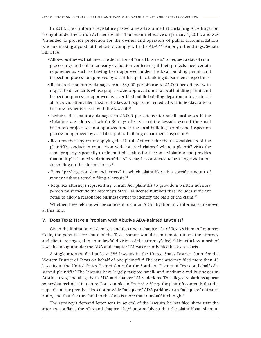In 2013, the California legislature passed a new law aimed at curtailing ADA litigation brought under the Unruh Act. Senate Bill 1186 became effective on January 1, 2013, and was "intended to provide protection for the owners and operators of public accommodations who are making a good faith effort to comply with the ADA."<sup>53</sup> Among other things, Senate Bill 1186:

- Allows businesses that meet the definition of "small business" to request a stay of court proceedings and obtain an early evaluation conference, if their projects meet certain requirements, such as having been approved under the local building permit and inspection process or approved by a certified public building department inspector.54
- Reduces the statutory damages from \$4,000 per offense to \$1,000 per offense with respect to defendants whose projects were approved under a local building permit and inspection process or approved by a certified public building department inspector, if all ADA violations identified in the lawsuit papers are remedied within 60 days after a business owner is served with the lawsuit.<sup>55</sup>
- Reduces the statutory damages to \$2,000 per offense for small businesses if the violations are addressed within 30 days of service of the lawsuit, even if the small business's project was not approved under the local building permit and inspection process or approved by a certified public building department inspector.<sup>56</sup>
- Requires that any court applying the Unruh Act consider the reasonableness of the plaintiff's conduct in connection with "stacked claims," where a plaintiff visits the same property repeatedly to file multiple claims for the same violation; and provides that multiple claimed violations of the ADA may be considered to be a single violation, depending on the circumstances.<sup>57</sup>
- Bans "pre-litigation demand letters" in which plaintiffs seek a specific amount of money without actually filing a lawsuit.<sup>58</sup>
- Requires attorneys representing Unruh Act plaintiffs to provide a written advisory (which must include the attorney's State Bar license number) that includes sufficient detail to allow a reasonable business owner to identify the basis of the claim.<sup>59</sup>

Whether these reforms will be sufficient to curtail ADA litigation in California is unknown at this time.

# **V. Does Texas Have a Problem with Abusive ADA-Related Lawsuits?**

Given the limitation on damages and fees under chapter 121 of Texas's Human Resources Code, the potential for abuse of the Texas statute would seem remote (unless the attorney and client are engaged in an unlawful division of the attorney's fee).<sup>60</sup> Nonetheless, a rash of lawsuits brought under the ADA and chapter 121 was recently filed in Texas courts.

A single attorney filed at least 385 lawsuits in the United States District Court for the Western District of Texas on behalf of one plaintiff.<sup>61</sup> The same attorney filed more than 45 lawsuits in the United States District Court for the Southern District of Texas on behalf of a second plaintiff.<sup>62</sup> The lawsuits have largely targeted small- and medium-sized businesses in Austin, Texas, and allege both ADA and chapter 121 violations. The alleged violations appear somewhat technical in nature. For example, in *Deutsch v. Henry,* the plaintiff contends that the taqueria on the premises does not provide "adequate" ADA parking or an "adequate" entrance ramp, and that the threshold to the shop is more than one-half inch high.<sup>63</sup>

The attorney's demand letter sent in several of the lawsuits he has filed show that the attorney conflates the ADA and chapter  $121<sub>0</sub><sup>64</sup>$  presumably so that the plaintiff can share in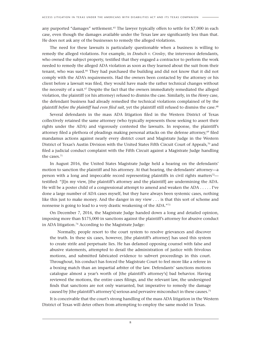any purported "damages" settlement.<sup>65</sup> The lawyer typically offers to settle for \$7,000 in each case, even though the damages available under the Texas law are significantly less than that. He does not ask any of the businesses to remedy the alleged violations.

The need for these lawsuits is particularly questionable when a business is willing to remedy the alleged violations. For example, in *Deutsch v. Crosley*, the intervenor defendants, who owned the subject property, testified that they engaged a contractor to perform the work needed to remedy the alleged ADA violation as soon as they learned about the suit from their tenant, who was sued.66 They had purchased the building and did not know that it did not comply with the ADA's requirements. Had the owners been contacted by the attorney or his client before a lawsuit was filed, they would have made the rather technical changes without the necessity of a suit.<sup>67</sup> Despite the fact that the owners immediately remediated the alleged violation, the plaintiff (or his attorney) refused to dismiss the case. Similarly, in the *Henry* case, the defendant business had already remedied the technical violations complained of by the plaintiff *before the plaintiff had even filed suit*, yet the plaintiff still refused to dismiss the case.68

Several defendants in the mass ADA litigation filed in the Western District of Texas collectively retained the same attorney (who typically represents those seeking to assert their rights under the ADA) and vigorously contested the lawsuits. In response, the plaintiff's attorney filed a plethora of pleadings making personal attacks on the defense attorney,<sup>69</sup> filed mandamus actions against nearly every district court and Magistrate Judge in the Western District of Texas's Austin Division with the United States Fifth Circuit Court of Appeals,<sup>70</sup> and filed a judicial conduct complaint with the Fifth Circuit against a Magistrate Judge handling the cases.71

In August 2016, the United States Magistrate Judge held a hearing on the defendants' motion to sanction the plaintiff and his attorney. At that hearing, the defendants' attorney—a person with a long and impeccable record representing plaintiffs in civil rights matters<sup>72</sup> testified: "[I]n my view, [the plaintiff's attorney and the plaintiff] are undermining the ADA. He will be a poster child of a congressional attempt to amend and weaken the ADA . . . . . I've done a large number of ADA cases myself, but they have always been systemic cases, nothing like this just to make money. And the danger in my view . . . is that this sort of scheme and nonsense is going to lead to a very drastic weakening of the ADA."73

On December 7, 2016, the Magistrate Judge handed down a long and detailed opinion, imposing more than \$175,000 in sanctions against the plaintiff's attorney for abusive conduct in ADA litigation.74 According to the Magistrate Judge:

 Normally, people resort to the court system to resolve grievances and discover the truth. In these six cases, however, [the plaintiff's attorney] has used this system to create strife and perpetuate lies. He has defamed opposing counsel with false and abusive statements, attempted to derail the administration of justice with frivolous motions, and submitted fabricated evidence to subvert proceedings in this court. Throughout, his conduct has forced the Magistrate Court to feel more like a referee in a boxing match than an impartial arbiter of the law. Defendants' sanctions motions catalogue almost a year's worth of [the plaintiff's attorney's] bad behavior. Having reviewed the motions, the entire cases filings, and the relevant law, the undersigned finds that sanctions are not only warranted, but imperative to remedy the damage caused by [the plaintiff's attorney's] serious and pervasive misconduct in these causes.75

It is conceivable that the court's strong handling of the mass ADA litigation in the Western District of Texas will deter others from attempting to employ the same model in Texas.

8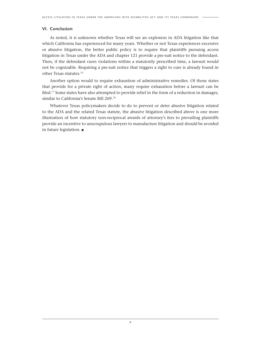# **VI. Conclusion**

As noted, it is unknown whether Texas will see an explosion in ADA litigation like that which California has experienced for many years. Whether or not Texas experiences excessive or abusive litigation, the better public policy is to require that plaintiffs pursuing access litigation in Texas under the ADA and chapter 121 provide a pre-suit notice to the defendant. Then, if the defendant cures violations within a statutorily prescribed time, a lawsuit would not be cognizable. Requiring a pre-suit notice that triggers a right to cure is already found in other Texas statutes.76

Another option would to require exhaustion of administrative remedies. Of those states that provide for a private right of action, many require exhaustion before a lawsuit can be filed.77 Some states have also attempted to provide relief in the form of a reduction in damages, similar to California's Senate Bill 269.78

Whatever Texas policymakers decide to do to prevent or deter abusive litigation related to the ADA and the related Texas statute, the abusive litigation described above is one more illustration of how statutory non-reciprocal awards of attorney's fees to prevailing plaintiffs provide an incentive to unscrupulous lawyers to manufacture litigation and should be avoided in future legislation. ■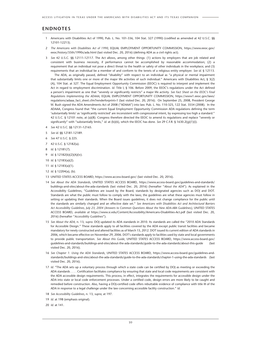# **ENDNOTES**

- 1 Americans with Disabilities Act of 1990, Pub. L. No. 101-336, 104 Stat. 327 (1990) (codified as amended at 42 U.S.C. §§ 12101-12213).
- 2 *The Americans with Disabilities Act of 1990*, EQUAL EMPLOYMENT OPPORTUNITY COMMISSION, https://www.eeoc.gov/ eeoc/history/35th/1990s/ada.html (last visited Dec. 20, 2016) (defining ADA as a civil rights act).
- 3 *See* 42 U.S.C. §§ 12111-12117. The Act allows, among other things: (1) actions by employers that are job related and consistent with business necessity, if performance cannot be accomplished by reasonable accommodation; (2) a requirement that an individual not pose a direct threat to the health or safety of other individuals in the workplace; and (3) requirements that an individual be a member of and conform to the tenets of a religious entity employer. *See id.* § 12113.

The ADA, as originally passed, defined "disability" with respect to an individual as "a physical or mental impairment that substantially limits one or more of the major life activities of such individual." Americans with Disabilities Act, § 3(2) (A), 104 Stat. at 327. The Equal Employment Opportunity Commission (EEOC) is required to interpret and implement the Act in regard to employment discrimination. *Id.* Title I, § 106. Before 2009, the EEOC's regulations under the Act defined a person's impairment as one that "severely or significantly restricts" a major life activity. *See Fact Sheet on the EEOC's Final Regulations Implementing the ADAAA*, EQUAL EMPLOYMENT OPPORTUNITY COMMISSION, https://www1.eeoc.gov/laws/ regulations/adaaa fact sheet.cfm?renderforprint=1 (last visited Dec. 20, 2016). On September 25, 2008, President George W. Bush signed the ADA Amendments Act of 2008 ("ADAAA") into law. Pub. L. No. 110-325, 122 Stat. 3554 (2008). In the ADAAA, Congress found that "the current Equal Employment Opportunity Commission ADA regulations defining the term 'substantially limits' as 'significantly restricted' are inconsistent with congressional intent, by expressing too high a standard." 42 U.S.C. § 12101 note, at (a)(8). Congress therefore directed the EEOC to amend its regulations and replace "severely or significantly" with "substantially limits," *id.* at (b)(6), which the EEOC has done. *See* 29 C.F.R. § 1630.2(g)(1)(i).

- 4 *See* 42 U.S.C. §§ 12131-12165.
- 5 *See id.* §§ 12181-12189.
- 6 *See* 47 U.S.C. § 225.
- 7 42 U.S.C. § 12182(a).
- 8 *Id.* § 12181(7).
- 9 *Id.* § 12182(b)(2)(A)(iv).
- 10 *Id.* § 12183(a)(2).
- 11 *Id.* § 12183(a)(1).
- 12 *Id.* § 12204(a), (b).
- 13 UNITED STATES ACCESS BOARD, https://www.access-board.gov/ (last visited Dec. 20, 2016).
- 14 *See About the ADA Standards*, UNITED STATES ACCESS BOARD, https://www.access-board.gov/guidelines-and-standards/ buildings-and-sites/about-the-ada-standards (last visited Dec. 20, 2016) (hereafter "*About the ADA*"). As explained in the Accessibility Guidelines, "Guidelines are issued by the Board, standards by designated agencies such as DOJ and DOT. Standards are what the public must follow to comply with the laws; the guidelines are what these agencies must follow in setting or updating their standards. When the Board issues guidelines, it does not change compliance for the public until the standards are similarly changed and an effective date set." *See Americans with Disabilities Act and Architectural Barriers Act Accessibility Guidelines, July 23, 2004 (Answers to Common Questions About the New ADA-ABA Guidelines)*, UNITED STATES ACCESS BOARD, *available at* https://www.si.edu/Content/Accessibility/Americans-Disabilities-Act.pdf (last visited Dec. 20, 2016) (hereafter "*Accessibility Guidelines*").
- 15 *See About the ADA,* n. 13, *supra*. DOJ updated its ADA standards in 2010. Its standards are called the "2010 ADA Standards for Accessible Design." These standards apply to all facilities covered by the ADA except public transit facilities and became mandatory for newly constructed and altered facilities as of March 15, 2012. DOT issued its current edition of ADA standards in 2006, which became effective on November 29, 2006. DOT's standards apply to facilities used by state and local governments to provide public transportation. *See About this Guide*, UNITED STATES ACCESS BOARD, https://www.access-board.gov/ guidelines-and-standards/buildings-and-sites/about-the-ada-standards/guide-to-the-ada-standards/about-this-guide (last visited Dec. 20, 2016).
- 16 *See Chapter 1: Using the ADA Standards*, UNITED STATES ACCESS BOARD, https://www.access-board.gov/guidelines-andstandards/buildings-and-sites/about-the-ada-standards/guide-to-the-ada-standards/chapter-1-using-the-ada-standards (last visited Dec. 20, 2016).
- 17 *Id.* "The ADA sets up a voluntary process through which a state code can be certified by DOJ as meeting or exceeding the ADA standards . . . . Certification facilitates compliance by ensuring that state and local code requirements are consistent with the ADA accessible design requirements. This process, in effect, integrates the requirements for accessible design under the ADA into state or local code enforcement processes. Under a certified code, design errors are more likely to be caught and remedied before construction. Also, having a DOJ-certified code offers rebuttable evidence of compliance with title III of the ADA in response to a legal challenge under the law concerning accessible facility construction." *Id.*
- 18 *See Accessibility Guidelines*, n. 13, *supra*, at 197.
- 19 *Id.* at 198 (emphasis original).
- 20 *Id.* at 141.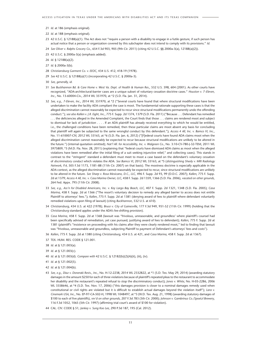- 21 *Id.* at 186 (emphasis original).
- 22 *Id.* at 188 (emphasis original).
- 23 42 U.S.C. § 12188(a)(1). The Act does not "require a person with a disability to engage in a futile gesture, if such person has actual notice that a person or organization covered by this subchapter does not intend to comply with its provisions." *Id.*
- 24 *See Oliver v. Ralphs Grocery Co.*, 654 F.3d 903, 905 (9th Cir. 2011) (citing 42 U.S.C. §§ 2000a-3(a), 12188(a)(2)).
- 25 42 U.S.C. § 2000a-3(a) (emphasis added).
- 26 *Id.* § 12188(a)(2).
- 27 *Id.* § 2000a-3(b).
- 28 *Christiansburg Garment Co. v. EEOC*, 434 U.S. 412, 418-19 (1978).
- 29 *See* 42 U.S.C. § 12188(a)(1) (incorporating 42 U.S.C. § 2000a-3).
- 30 *See, generally, id.*
- 31 *See Buckhannon Bd. & Care Home v. West Va. Dept. of Health & Human Res.*, 532 U.S. 598, 604 (2001). As other courts have recognized, "ADA-architectural-barrier cases are a unique subset of voluntary cessation doctrine cases." *Houston v. 7–Eleven, Inc.*, No. 13-60004-Civ., 2014 WL 351970, at \*2 (S.D. Fla. Jan. 31, 2014).
- 32 *See, e.g., 7-Eleven, Inc.*, 2014 WL 351970, at \*2 ("Several courts have found that where structural modifications have been undertaken to make the facility ADA compliant the case is moot. The fundamental rationale supporting these cases is that the alleged discrimination cannot reasonably be expected to recur since structural modifications permanently undo the offending conduct."); *see also Kallen v. J.R. Eight, Inc.*, 775 F. Supp. 2d 1374, 1379 (S.D. Fla. 2011) ("Because . . . Defendant has remedied . . . the deficiencies alleged in the Amended Complaint, the Court finds that those . . . claims are rendered moot and subject to dismissal for lack of jurisdiction . . . . If an ADA plaintiff has already received everything to which he would be entitled, i.e., the challenged conditions have been remedied, then these particular claims are moot absent any basis for concluding that plaintiff will again be subjected to the same wrongful conduct by this defendant."); *Access 4 All, Inc. v. Bamco VI, Inc.*, No. 11-610007-CIV, 2012 WL 33163, at \*6 (S.D. Fla. Jan. 6, 2012) ("[F]ederal courts have found ADA claims moot when the alleged discrimination cannot reasonably be expected to recur because structural modifications are unlikely to be altered in the future.") (internal quotation omitted); *Nat'l All. for Accessibility, Inc. v. Walgreen Co.*, No. 3:10-CV-780-J-32-TEM, 2011 WL 5975809, \*3 (M.D. Fla. Nov. 28, 2011) (explaining that "federal courts have dismissed ADA claims as moot when the alleged violations have been remedied after the initial filing of a suit seeking injunctive relief," and collecting cases). This stands in contrast to the "stringent" standard a defendant must meet to moot a case based on the defendant's voluntary cessation of *discriminatory conduct* which violates the ADA. *See Bamco VI*, 2012 WL 33163, at \*5 (*distinguishing Sheely v. MRI Radiology Network, P.A,* 505 F.3d 1173, 1181–88 (11th Cir. 2007) on that basis). The mootness doctrine is especially applicable in the ADA context, as the alleged discrimination cannot reasonably be expected to recur, since structural modifications are unlikely to be altered in the future. *See Sharp v. Rosa Mexicano, D.C., LLC,* 496 F. Supp. 2d 93, 99 (D.D.C. 2007); *Kallen*, 775 F. Supp. 2d at 1379; *Access 4 All, Inc. v. Casa Marina Owner, LLC*, 458 F. Supp. 2d 1359, 1366 (S.D. Fla. 2006), *vacated on other grounds,* 264 Fed. Appx. 795 (11th Cir. 2008).
- 33 *See, e.g., Ass'n for Disabled Americans, Inc. v. Key Largo Bay Beach, LLC,* 407 F. Supp. 2d 1321, 1348 (S.D. Fla. 2005); *Casa Marina*, 458 F. Supp. 2d at 1366 ("The resort's voluntary decision to remedy any alleged barrier to access does not entitle Plaintiff to attorneys' fees."); *Kallen*, 775 F. Supp. 2d at 1381 (denying award of fees to plaintiff where defendant voluntarily remedied violations upon filing of lawsuit) (citing *Buckhannon*, 532 U.S. at 610).
- 34 *Christiansburg*, 434 U.S. at 422 (1978); *Bruce v. City of Gainesville*, 177 F.3d 949, 951-52 (11th Cir. 1999) (holding that the *Christiansburg* standard applies under the ADA's fee-shifting provision).
- 35 *Casa Marina*, 458 F. Supp. 2d at 1368 (lawsuit was "frivolous, unreasonable, and groundless' where plaintiff's counsel had been specifically advised of remediation, yet case pursued, justifying award of fees to defendant); *Kallen*, 775 F. Supp. 2d at 1381 (plaintiff's "insistence on proceeding with his claims after they were clearly rendered moot," led to finding that lawsuit was "frivolous, unreasonable and groundless, subjecting Plaintiff to payment of Defendant's attorneys' fees and costs").
- 36 *Kallen*, 775 F. Supp. 2d at 1380 (citing *Christiansburg*, 434 U.S. at 421, and *Casa Marina*, 458 F. Supp. 2d at 1367).
- 37 TEX. HUM. RES. CODE § 121.001.
- 38 *Id.* at § 121.003(a).
- 39 *Id.* at § 121.003(c).
- 40 *Id.* at § 121.003(d). *Compare with* 42 U.S.C. § 12182(b)(2)(A)(ii), (iii), (iv).
- 41 *Id.* at § 121.002(5).
- 42 *Id.* at § 121.004(b).
- 43 *See, e.g., Diaz v. Doneraki Rests., Inc.*, No. H-12-2238, 2014 WL 2332822, at \*1 (S.D. Tex. May 29, 2014) (awarding statutory damages in the amount \$250 for each of three violations because of plaintiff's repeated pleas to the restaurant to accommodate her disability and the restaurant's repeated refusal to stop the discriminatory conduct); *Jones v. White*, No. H-03-2286, 2006 WL 3358646, at \*4 (S.D. Tex. Nov. 17, 2006) ("this damages provision is closer to a nominal damages remedy used when constitutional or civil rights are violated but it is difficult to establish actual damages beyond the violation itself"); *Lara v. Cinemark USA, Inc.*, No. EP-97-CA-502-H, 1998 WL 1048497, at \*3 (W.D. Tex. Aug. 21, 1998) (awarding statutory damages of \$100 to each of five plaintiffs), *rev'd on other grounds*, 207 F.3d 783 (5th Cir. 2000); *Johnson v. Gambrinus Co./Spoetzl Brewery*, 116 F.3d 1052, 1065 (5th Cir. 1997) (affirming trial court's award of \$100 for violation).
- 44 CAL. CIV. CODE § 51; *Jankey v. Sung Koo Lee*, 290 P.3d 187, 195 (Cal. 2012).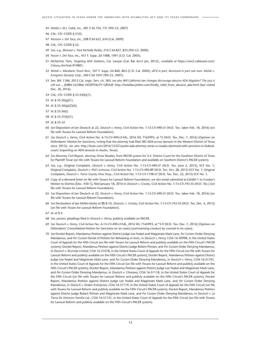45 *Molski v. M.J. Cable, Inc.*, 481 F.3d 724, 731 (9th Cir. 2007)

- 46 CAL. CIV. CODE § 51(f).
- 47 *Munson v. Del Taco, Inc.*, 208 P.3d 623, 634 (Cal. 2009).
- 48 CAL. CIV. CODE § 52.
- 49 *See, e.g., Botosan v. Paul McNally Realty*, 216 F.3d 827, 835 (9th Cir. 2000).
- 50 *Feezor v. Del Taco, Inc.*, 431 F. Supp. 2d 1088, 1091 (S.D. Cal. 2005).
- 51 McNichol, Tom, *Targeting ADA Violators*, Cal. Lawyer (Cal. Bar Ass'n Jan, 2012)., *available at* https://ww2.callawyer.com/ Clstory.cfm?eid=919801.
- 52 *Molski v. Mandarin Touch Rest.*, 347 F. Supp. 2d 860, 863 (C.D. Cal. 2004), *aff'd in part, dismissed in part sub nom. Molski v. Evergreen Dynasty Corp.*, 500 F.3d 1047 (9th Cir. 2007).
- 53 Sen. Bill. 1186, 2012 Cal. Legis. Serv. ch. 383; *see also Will California law changes discourage abusive ADA litigation? The jury is still out...*, JMBM GLOBAL HOSPITALITY GROUP, http://hotellaw.jmbm.com/finally\_relief\_from\_abusive\_ada.html (last visited Dec. 20, 2016).
- 54 CAL. CIV. CODE § 55.54(b)(1).
- 55 *Id.* § 55.56(g)(1).
- 56 *Id.* § 55.56(g)(2)(A).
- 57 *Id.* § 55.56(i).
- 58 *Id.* § 55.31(b)(1).
- 59 *Id.* § 55.32.
- 60 *See* Deposition of Jon Deutsch at 22, *Deutsch v. Henry*, Civil Action No. 1:15-CV-490-LY (W.D. Tex. taken Feb. 18, 2016) (on file with Texans for Lawsuit Reform Foundation).
- 61 *See Deutsch v. Henry*, Civil Action No. A-15-CV-490-LY-ML, 2016 WL 7165993, at \*2 (W.D. Tex. Dec. 7, 2016) (Opinion on Defendants' Motion for Sanctions, noting that the attorney had filed 385 ADA access lawsuits in the Western District of Texas since 2015); *see also* http://kxan.com/2016/12/07/austin-ada-attorney-omar-w-rosales-slammed-with-sanctions-in-federalcourt/ (reporting on ADA lawsuits in Austin, Texas).
- 62 *See* Attorney Civil Report, attorney Omar Rosales, from PACER system for U.S. District Court for the Southern District of Texas for Plaintiff Tovar (on file with Texans for Lawsuit Reform Foundation and available on Southern District's PACER system).
- 63 *See, e.g.,* Original Complaint, *Deutsch v. Henry*, Civil Action No. 1:15-CV-490-LY (W.D. Tex. June 5, 2015), ECF No. 1; Original Complaint, *Deutsch v. Phil's Icehouse*, Civil Action No. 1:15-CV-490-RP (W.D. Tex. Oct. 28, 2015) ECF No. 1; Original Complaint, *Deutsch v. Travis County Shoe Hosp.*, Civil Action No. 1:15-CV-1198-LY (W.D. Tex. Dec. 22, 2015) ECF No. 1.
- 64 Copy of a demand letter on file with Texans for Lawsuit Reform Foundation; *see also* email submitted as Exhibit 1 to Crosley's Motion to Dismiss [Doc. #30-1], filed January 18, 2016 in *Deutsch v. Crosley*, Civil Action No. 1:15-CV-743-SS (W.D. Tex.) (on file with Texans for Lawsuit Reform Foundation).
- 65 *See* Deposition of Jon Deutsch at 22, *Deutsch v. Henry*, Civil Action No. 1:15-CV-490-LY (W.D. Tex. taken Feb. 18, 2016) (on file with Texans for Lawsuit Reform Foundation).
- 66 *See* Declaration of Jan Mirkin-Earley at ¶¶ 8-10, *Deutsch, v. Crosley*, Civil Action No. 1:15-CV-743-SS (W.D. Tex. Dec. 4, 2015) (on file with Texans for Lawsuit Reform Foundation).

- 68 *See, passim*, pleadings filed in *Deutsch v. Henry,* publicly available on PACER.
- 69 *See Deutsch v. Henry*, Civil Action No. A-15-CV-490-LY-ML, 2016 WL 7165993, at \*3-9 (W.D. Tex. Dec. 7, 2016) (Opinion on Defendants' Consolidated Motion for Sanctions on six cases) (summarizing conduct by counsel in six cases).
- 70 *See* Docket Report, Mandamus Petition against District Judge Lee Yeakel and Magistrate Mark Lane, *Per Curiam* Order Denying Mandamus, and *Per Curiam* Denial of Petition for Rehearing *en banc*, in *Deutsch v. Henry,* COA 16-50998, in the United States Court of Appeals for the Fifth Circuit (on file with Texans for Lawsuit Reform and publicly available on the Fifth Circuit's PACER system); Docket Report, Mandamus Petition against District Judge Robert Pitman, and *Per Curiam* Order Denying Mandamus, in *Deutsch v. Riverside Limited*, COA 16-51018, in the United States Court of Appeals for the Fifth Circuit (on file with Texans for Lawsuit Reform and publicly available on the Fifth Circuit's PACER system); Docket Report, Mandamus Petition against District Judge Lee Yeakel and Magistrate Mark Lane, and *Per Curiam* Order Denying Mandamus, in *Deutsch v. Henry*, COA 16-51101, in the United States Court of Appeals for the Fifth Circuit (on file with Texans for Lawsuit Reform and publicly available on the Fifth Circuit's PACER system); Docket Report, Mandamus Petition against District Judge Lee Yeakel and Magistrate Mark Lane, and *Per Curiam* Order Denying Mandamus, in *Deutsch v. Chiwawa*, COA 16-51118, in the United States Court of Appeals for the Fifth Circuit (on file with Texans for Lawsuit Reform and publicly available on the Fifth Circuit's PACER system); Docket Report, Mandamus Petition against District Judge Lee Yeakel and Magistrate Mark Lane, and *Per Curiam* Order Denying Mandamus, in *Deutsch v. Draker Enterprises*, COA 16-51119, in the United States Court of Appeals for the Fifth Circuit (on file with Texans for Lawsuit Reform and publicly available on the Fifth Circuit's PACER system); Docket Report, Mandamus Petition against District Judge Robert Pitman and Magistrate Mark Lane, and *Per Curiam* Order Denying Mandamus, in *Deutsch v. La Tierra De Simmons Familia Ltd.*, COA 16-51121, in the United States Court of Appeals for the Fifth Circuit (on file with Texans for Lawsuit Reform and publicly available on the Fifth Circuit's PACER system).

<sup>67</sup> *Id*. at ¶ 4.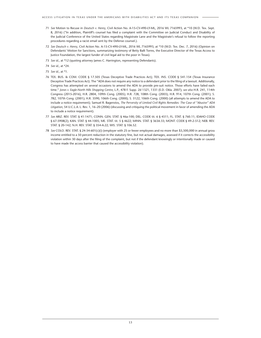- 71 *See* Motion to Recuse in *Deutsch v. Henry*, Civil Action No. A-15-CV-490-LY-ML, 2016 WL 7165993, at \*10 (W.D. Tex. Sept. 8, 2016) ("In addition, Plaintiff's counsel has filed a complaint with the Committee on Judicial Conduct and Disability of the Judicial Conference of the United States regarding Magistrate Lane and the Magistrate's refusal to follow the reporting procedures regarding a racist email sent by the Defense counsel.).
- 72 *See Deutsch v. Henry*, Civil Action No. A-15-CV-490-LY-ML, 2016 WL 7165993, at \*10 (W.D. Tex. Dec. 7, 2016) (Opinion on Defendants' Motion for Sanctions, summarizing testimony of Betty Balli Torres, the Executive Director of the Texas Access to Justice Foundation, the largest funder of civil legal aid to the poor in Texas).
- 73 *See id*., at \*12 (quoting attorney James C. Harrington, representing Defendants).
- 74 *See id.*, at \*24.
- 75 *See id.*, at \*1.
- 76 TEX. BUS. & COM. CODE § 17.505 (Texas Deceptive Trade Practices Act); TEX. INS. CODE § 541.154 (Texas Insurance Deceptive Trade Practices Act). The "ADA does not require any notice to a defendant prior to the filing of a lawsuit. Additionally, Congress has attempted on several occasions to amend the ADA to provide pre-suit notice. Those efforts have failed each time." *Jones v. Eagle-North Hills Shopping Centre*, L.P., 478 F. Supp. 2d 1321, 1331 (E.D. Okla. 2007); *see also* H.R. 241, 114th Congress (2015-2016), H.R. 2804, 109th Cong. (2005); H.R. 728, 108th Cong. (2003); H.R. 914, 107th Cong. (2001); S. 782, 107th Cong. (2001); H.R. 3590, 106th Cong. (2000); S. 3122, 106th Cong. (2000) (all attempts to amend the ADA to include a notice requirement); Samuel R. Bagenstos, *The Perversity of Limited Civil Rights Remedies: The Case of "Abusive" ADA Litigation*, 54 U.C.L.A. L. Rev. 1, 16–20 (2006) (discussing and critiquing the political movement in favor of amending the ADA to include a notice requirement).
- 77 *See* ARIZ. REV. STAT. § 41-1471; CONN. GEN. STAT. § 46a-100; DEL. CODE tit. 6 § 4511; FL. STAT. § 760.11; IDAHO CODE § 67-5908(2); KAN. STAT. § 44-1005; ME. STAT. tit. 5 § 4622; MINN. STAT. § 363A.33; MONT. CODE § 49-2-512; NEB. REV. STAT. § 20-142; N.H. REV. STAT. § 354-A:22; WIS. STAT. § 106.52.
- 78 *See* COLO. REV. STAT. § 24-34-601(c)(i) (employer with 25 or fewer employees and no more than \$3,500,000 in annual gross income entitled to a 50 percent reduction in the statutory fine, but not actual damages, assessed if it corrects the accessibility violation within 30 days after the filing of the complaint, but not if the defendant knowingly or intentionally made or caused to have made the access barrier that caused the accessibility violation).